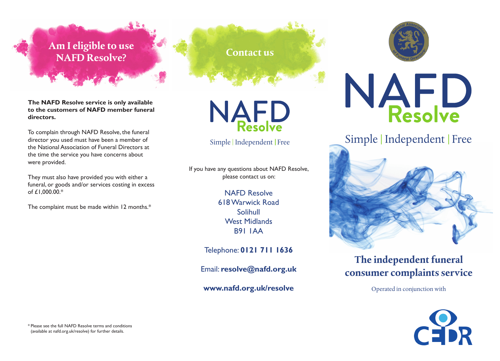### **Am I eligible to use NAFD Resolve? Contact us**

**The NAFD Resolve service is only available to the customers of NAFD member funeral directors.**

To complain through NAFD Resolve, the funeral director you used must have been a member of the National Association of Funeral Directors at the time the service you have concerns about were provided.

They must also have provided you with either a funeral, or goods and/or services costing in excess of £1,000.00.\*

The complaint must be made within 12 months.\*



NAFD



If you have any questions about NAFD Resolve, please contact us on:

> NAFD Resolve 618 Warwick Road Solihull West Midlands B91 1AA

Telephone: **0121 711 1636**

Email: **resolve@nafd.org.uk**

**www.nafd.org.uk/resolve**



## **The independent funeral consumer complaints service**

Operated in conjunction with



\* Please see the full NAFD Resolve terms and conditions (available at nafd.org.uk/resolve) for further details.